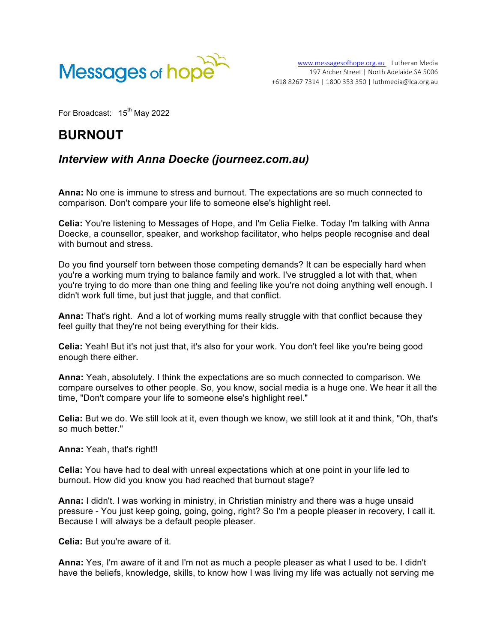

For Broadcast:  $15<sup>th</sup>$  May 2022

## **BURNOUT**

## *Interview with Anna Doecke (journeez.com.au)*

**Anna:** No one is immune to stress and burnout. The expectations are so much connected to comparison. Don't compare your life to someone else's highlight reel.

**Celia:** You're listening to Messages of Hope, and I'm Celia Fielke. Today I'm talking with Anna Doecke, a counsellor, speaker, and workshop facilitator, who helps people recognise and deal with burnout and stress.

Do you find yourself torn between those competing demands? It can be especially hard when you're a working mum trying to balance family and work. I've struggled a lot with that, when you're trying to do more than one thing and feeling like you're not doing anything well enough. I didn't work full time, but just that juggle, and that conflict.

**Anna:** That's right. And a lot of working mums really struggle with that conflict because they feel guilty that they're not being everything for their kids.

**Celia:** Yeah! But it's not just that, it's also for your work. You don't feel like you're being good enough there either.

**Anna:** Yeah, absolutely. I think the expectations are so much connected to comparison. We compare ourselves to other people. So, you know, social media is a huge one. We hear it all the time, "Don't compare your life to someone else's highlight reel."

**Celia:** But we do. We still look at it, even though we know, we still look at it and think, "Oh, that's so much better."

## **Anna:** Yeah, that's right!!

**Celia:** You have had to deal with unreal expectations which at one point in your life led to burnout. How did you know you had reached that burnout stage?

**Anna:** I didn't. I was working in ministry, in Christian ministry and there was a huge unsaid pressure - You just keep going, going, going, right? So I'm a people pleaser in recovery, I call it. Because I will always be a default people pleaser.

**Celia:** But you're aware of it.

**Anna:** Yes, I'm aware of it and I'm not as much a people pleaser as what I used to be. I didn't have the beliefs, knowledge, skills, to know how I was living my life was actually not serving me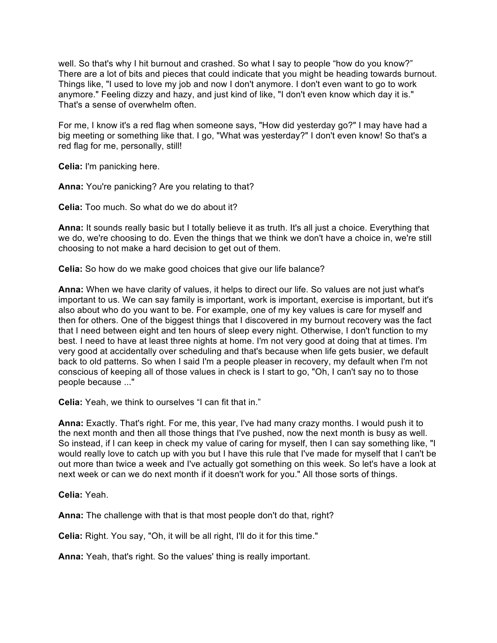well. So that's why I hit burnout and crashed. So what I say to people "how do you know?" There are a lot of bits and pieces that could indicate that you might be heading towards burnout. Things like, "I used to love my job and now I don't anymore. I don't even want to go to work anymore." Feeling dizzy and hazy, and just kind of like, "I don't even know which day it is." That's a sense of overwhelm often.

For me, I know it's a red flag when someone says, "How did yesterday go?" I may have had a big meeting or something like that. I go, "What was yesterday?" I don't even know! So that's a red flag for me, personally, still!

**Celia:** I'm panicking here.

**Anna:** You're panicking? Are you relating to that?

**Celia:** Too much. So what do we do about it?

**Anna:** It sounds really basic but I totally believe it as truth. It's all just a choice. Everything that we do, we're choosing to do. Even the things that we think we don't have a choice in, we're still choosing to not make a hard decision to get out of them.

**Celia:** So how do we make good choices that give our life balance?

**Anna:** When we have clarity of values, it helps to direct our life. So values are not just what's important to us. We can say family is important, work is important, exercise is important, but it's also about who do you want to be. For example, one of my key values is care for myself and then for others. One of the biggest things that I discovered in my burnout recovery was the fact that I need between eight and ten hours of sleep every night. Otherwise, I don't function to my best. I need to have at least three nights at home. I'm not very good at doing that at times. I'm very good at accidentally over scheduling and that's because when life gets busier, we default back to old patterns. So when I said I'm a people pleaser in recovery, my default when I'm not conscious of keeping all of those values in check is I start to go, "Oh, I can't say no to those people because ..."

**Celia:** Yeah, we think to ourselves "I can fit that in."

**Anna:** Exactly. That's right. For me, this year, I've had many crazy months. I would push it to the next month and then all those things that I've pushed, now the next month is busy as well. So instead, if I can keep in check my value of caring for myself, then I can say something like, "I would really love to catch up with you but I have this rule that I've made for myself that I can't be out more than twice a week and I've actually got something on this week. So let's have a look at next week or can we do next month if it doesn't work for you." All those sorts of things.

**Celia:** Yeah.

**Anna:** The challenge with that is that most people don't do that, right?

**Celia:** Right. You say, "Oh, it will be all right, I'll do it for this time."

**Anna:** Yeah, that's right. So the values' thing is really important.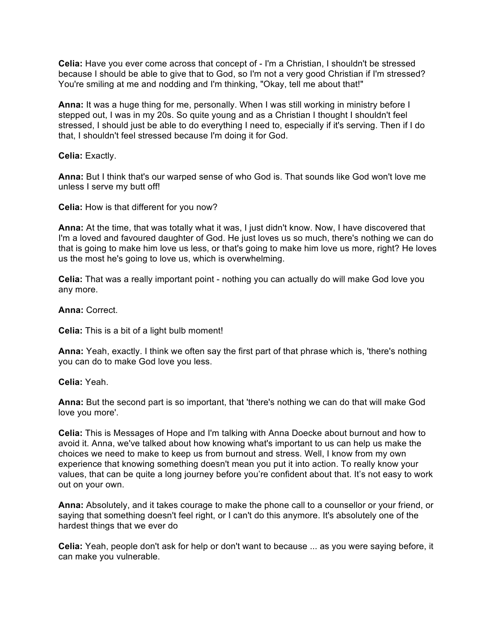**Celia:** Have you ever come across that concept of - I'm a Christian, I shouldn't be stressed because I should be able to give that to God, so I'm not a very good Christian if I'm stressed? You're smiling at me and nodding and I'm thinking, "Okay, tell me about that!"

**Anna:** It was a huge thing for me, personally. When I was still working in ministry before I stepped out, I was in my 20s. So quite young and as a Christian I thought I shouldn't feel stressed, I should just be able to do everything I need to, especially if it's serving. Then if I do that, I shouldn't feel stressed because I'm doing it for God.

**Celia:** Exactly.

**Anna:** But I think that's our warped sense of who God is. That sounds like God won't love me unless I serve my butt off!

**Celia:** How is that different for you now?

**Anna:** At the time, that was totally what it was, I just didn't know. Now, I have discovered that I'm a loved and favoured daughter of God. He just loves us so much, there's nothing we can do that is going to make him love us less, or that's going to make him love us more, right? He loves us the most he's going to love us, which is overwhelming.

**Celia:** That was a really important point - nothing you can actually do will make God love you any more.

**Anna:** Correct.

**Celia:** This is a bit of a light bulb moment!

**Anna:** Yeah, exactly. I think we often say the first part of that phrase which is, 'there's nothing you can do to make God love you less.

**Celia:** Yeah.

**Anna:** But the second part is so important, that 'there's nothing we can do that will make God love you more'.

**Celia:** This is Messages of Hope and I'm talking with Anna Doecke about burnout and how to avoid it. Anna, we've talked about how knowing what's important to us can help us make the choices we need to make to keep us from burnout and stress. Well, I know from my own experience that knowing something doesn't mean you put it into action. To really know your values, that can be quite a long journey before you're confident about that. It's not easy to work out on your own.

**Anna:** Absolutely, and it takes courage to make the phone call to a counsellor or your friend, or saying that something doesn't feel right, or I can't do this anymore. It's absolutely one of the hardest things that we ever do

**Celia:** Yeah, people don't ask for help or don't want to because ... as you were saying before, it can make you vulnerable.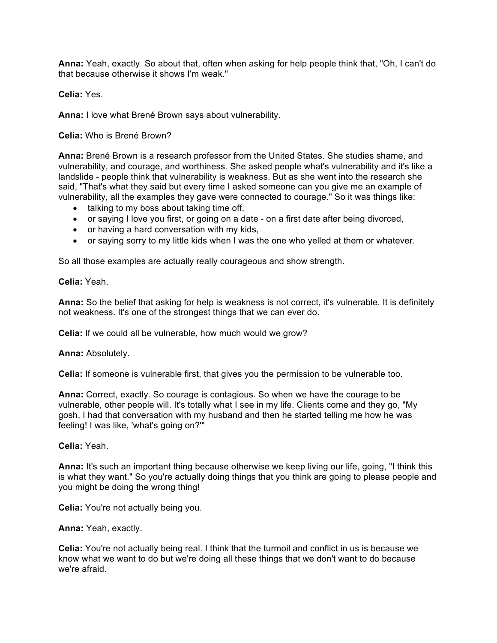**Anna:** Yeah, exactly. So about that, often when asking for help people think that, "Oh, I can't do that because otherwise it shows I'm weak."

**Celia:** Yes.

**Anna:** I love what Brené Brown says about vulnerability.

**Celia:** Who is Brené Brown?

**Anna:** Brené Brown is a research professor from the United States. She studies shame, and vulnerability, and courage, and worthiness. She asked people what's vulnerability and it's like a landslide - people think that vulnerability is weakness. But as she went into the research she said, "That's what they said but every time I asked someone can you give me an example of vulnerability, all the examples they gave were connected to courage." So it was things like:

- talking to my boss about taking time off,
- or saying I love you first, or going on a date on a first date after being divorced,
- or having a hard conversation with my kids,
- or saying sorry to my little kids when I was the one who yelled at them or whatever.

So all those examples are actually really courageous and show strength.

**Celia:** Yeah.

**Anna:** So the belief that asking for help is weakness is not correct, it's vulnerable. It is definitely not weakness. It's one of the strongest things that we can ever do.

**Celia:** If we could all be vulnerable, how much would we grow?

**Anna:** Absolutely.

**Celia:** If someone is vulnerable first, that gives you the permission to be vulnerable too.

**Anna:** Correct, exactly. So courage is contagious. So when we have the courage to be vulnerable, other people will. It's totally what I see in my life. Clients come and they go, "My gosh, I had that conversation with my husband and then he started telling me how he was feeling! I was like, 'what's going on?'"

**Celia:** Yeah.

**Anna:** It's such an important thing because otherwise we keep living our life, going, "I think this is what they want." So you're actually doing things that you think are going to please people and you might be doing the wrong thing!

**Celia:** You're not actually being you.

**Anna:** Yeah, exactly.

**Celia:** You're not actually being real. I think that the turmoil and conflict in us is because we know what we want to do but we're doing all these things that we don't want to do because we're afraid.